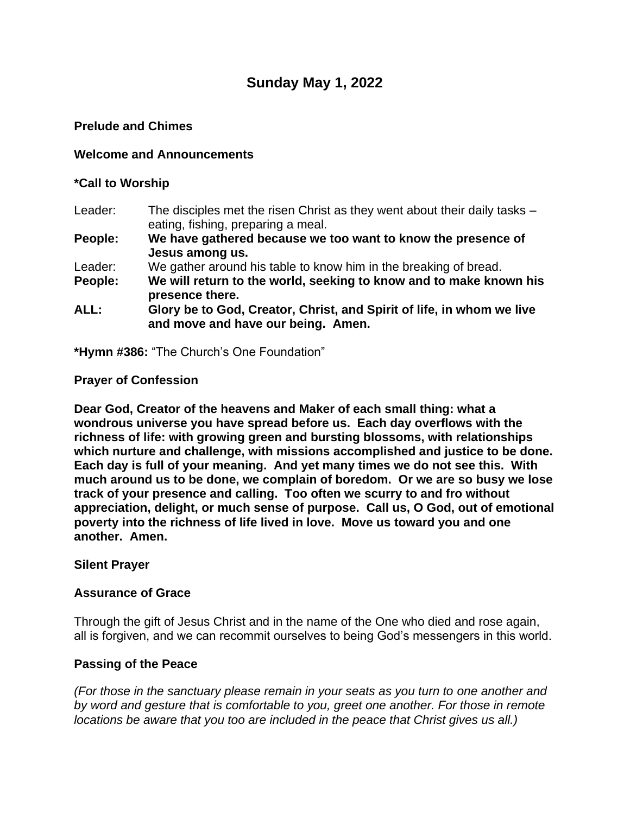# **Sunday May 1, 2022**

### **Prelude and Chimes**

### **Welcome and Announcements**

### **\*Call to Worship**

- Leader: The disciples met the risen Christ as they went about their daily tasks eating, fishing, preparing a meal.
- **People: We have gathered because we too want to know the presence of Jesus among us.**
- Leader: We gather around his table to know him in the breaking of bread.
- **People: We will return to the world, seeking to know and to make known his presence there.**
- **ALL: Glory be to God, Creator, Christ, and Spirit of life, in whom we live and move and have our being. Amen.**

**\*Hymn #386:** "The Church's One Foundation"

### **Prayer of Confession**

**Dear God, Creator of the heavens and Maker of each small thing: what a wondrous universe you have spread before us. Each day overflows with the richness of life: with growing green and bursting blossoms, with relationships which nurture and challenge, with missions accomplished and justice to be done. Each day is full of your meaning. And yet many times we do not see this. With much around us to be done, we complain of boredom. Or we are so busy we lose track of your presence and calling. Too often we scurry to and fro without appreciation, delight, or much sense of purpose. Call us, O God, out of emotional poverty into the richness of life lived in love. Move us toward you and one another. Amen.**

### **Silent Prayer**

### **Assurance of Grace**

Through the gift of Jesus Christ and in the name of the One who died and rose again, all is forgiven, and we can recommit ourselves to being God's messengers in this world.

### **Passing of the Peace**

*(For those in the sanctuary please remain in your seats as you turn to one another and by word and gesture that is comfortable to you, greet one another. For those in remote locations be aware that you too are included in the peace that Christ gives us all.)*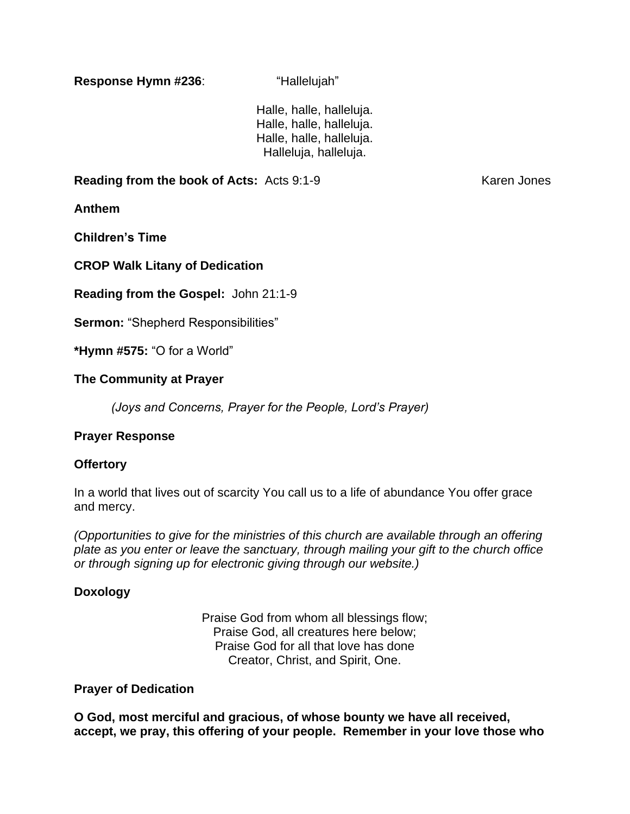**Response Hymn #236**: "Hallelujah"

Halle, halle, halleluja. Halle, halle, halleluja. Halle, halle, halleluja. Halleluja, halleluja.

**Reading from the book of Acts:** Acts 9:1-9 Karen Jones

**Anthem**

**Children's Time**

**CROP Walk Litany of Dedication**

**Reading from the Gospel:** John 21:1-9

**Sermon:** "Shepherd Responsibilities"

**\*Hymn #575:** "O for a World"

### **The Community at Prayer**

*(Joys and Concerns, Prayer for the People, Lord's Prayer)*

### **Prayer Response**

### **Offertory**

In a world that lives out of scarcity You call us to a life of abundance You offer grace and mercy.

*(Opportunities to give for the ministries of this church are available through an offering plate as you enter or leave the sanctuary, through mailing your gift to the church office or through signing up for electronic giving through our website.)*

## **Doxology**

Praise God from whom all blessings flow; Praise God, all creatures here below; Praise God for all that love has done Creator, Christ, and Spirit, One.

### **Prayer of Dedication**

**O God, most merciful and gracious, of whose bounty we have all received, accept, we pray, this offering of your people. Remember in your love those who**